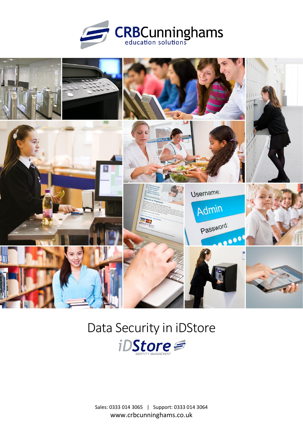



# Data Security in iDStore



Sales: 0333 014 3065 | Support: 0333 014 3064 www.crbcunninghams.co.uk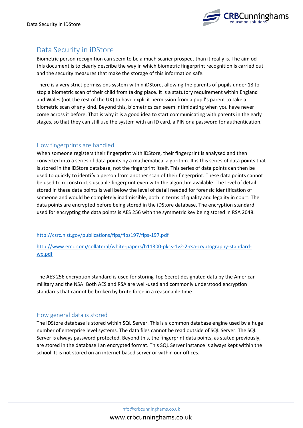

# Data Security in iDStore

Biometric person recognition can seem to be a much scarier prospect than it really is. The aim od this document is to clearly describe the way in which biometric fingerprint recognition is carried out and the security measures that make the storage of this information safe.

There is a very strict permissions system within iDStore, allowing the parents of pupils under 18 to stop a biometric scan of their child from taking place. It is a statutory requirement within England and Wales (not the rest of the UK) to have explicit permission from a pupil's parent to take a biometric scan of any kind. Beyond this, biometrics can seem intimidating when you have never come across it before. That is why it is a good idea to start communicating with parents in the early stages, so that they can still use the system with an ID card, a PIN or a password for authentication.

## How fingerprints are handled

When someone registers their fingerprint with iDStore, their fingerprint is analysed and then converted into a series of data points by a mathematical algorithm. It is this series of data points that is stored in the iDStore database, not the fingerprint itself. This series of data points can then be used to quickly to identify a person from another scan of their fingerprint. These data points cannot be used to reconstruct s useable fingerprint even with the algorithm available. The level of detail stored in these data points is well below the level of detail needed for forensic identification of someone and would be completely inadmissible, both in terms of quality and legality in court. The data points are encrypted before being stored in the iDStore database. The encryption standard used for encrypting the data points is AES 256 with the symmetric key being stored in RSA 2048.

#### <http://csrc.nist.gov/publications/fips/fips197/fips-197.pdf>

[http://www.emc.com/collateral/white-papers/h11300-pkcs-1v2-2-rsa-cryptography-standard](http://www.emc.com/collateral/white-papers/h11300-pkcs-1v2-2-rsa-cryptography-standard-wp.pdf)[wp.pdf](http://www.emc.com/collateral/white-papers/h11300-pkcs-1v2-2-rsa-cryptography-standard-wp.pdf)

The AES 256 encryption standard is used for storing Top Secret designated data by the American military and the NSA. Both AES and RSA are well-used and commonly understood encryption standards that cannot be broken by brute force in a reasonable time.

#### How general data is stored

The iDStore database is stored within SQL Server. This is a common database engine used by a huge number of enterprise level systems. The data files cannot be read outside of SQL Server. The SQL Server is always password protected. Beyond this, the fingerprint data points, as stated previously, are stored in the database I an encrypted format. This SQL Server instance is always kept within the school. It is not stored on an internet based server or within our offices.